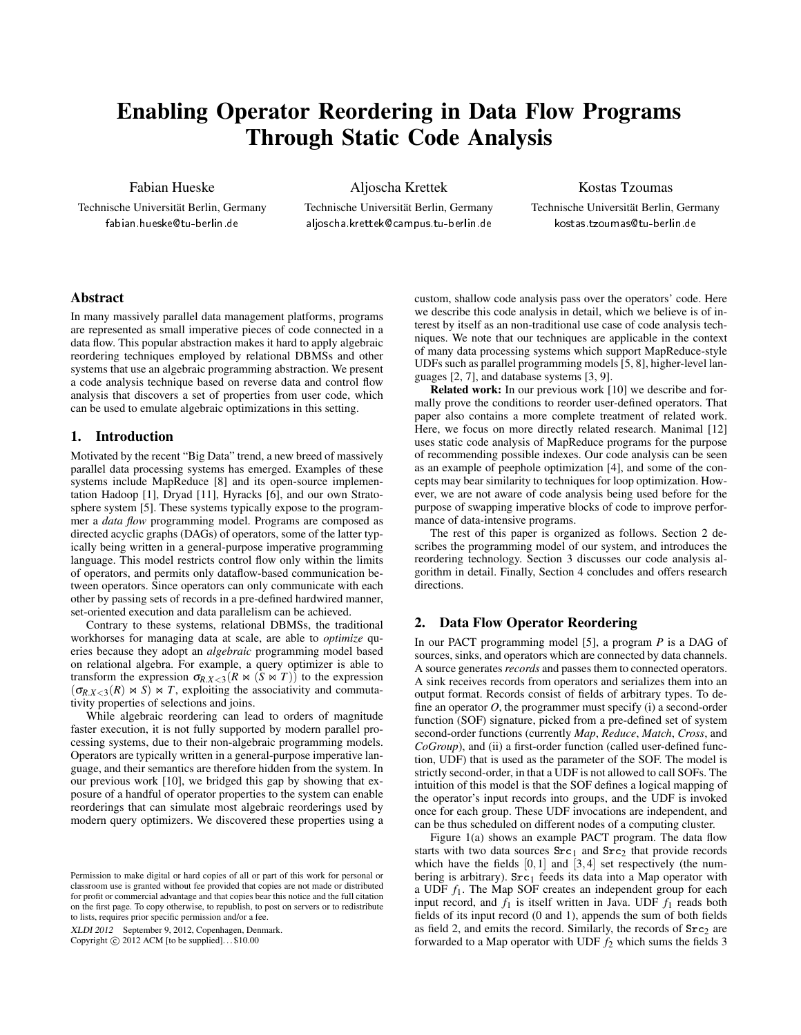# Enabling Operator Reordering in Data Flow Programs Through Static Code Analysis

Fabian Hueske

Technische Universität Berlin, Germany fabian.hueske@tu-berlin.de

Aljoscha Krettek Technische Universität Berlin, Germany aljoscha.krettek@campus.tu-berlin.de

Kostas Tzoumas

Technische Universität Berlin, Germany kostas.tzoumas@tu-berlin.de

## Abstract

In many massively parallel data management platforms, programs are represented as small imperative pieces of code connected in a data flow. This popular abstraction makes it hard to apply algebraic reordering techniques employed by relational DBMSs and other systems that use an algebraic programming abstraction. We present a code analysis technique based on reverse data and control flow analysis that discovers a set of properties from user code, which can be used to emulate algebraic optimizations in this setting.

## 1. Introduction

Motivated by the recent "Big Data" trend, a new breed of massively parallel data processing systems has emerged. Examples of these systems include MapReduce [8] and its open-source implementation Hadoop [1], Dryad [11], Hyracks [6], and our own Stratosphere system [5]. These systems typically expose to the programmer a *data flow* programming model. Programs are composed as directed acyclic graphs (DAGs) of operators, some of the latter typically being written in a general-purpose imperative programming language. This model restricts control flow only within the limits of operators, and permits only dataflow-based communication between operators. Since operators can only communicate with each other by passing sets of records in a pre-defined hardwired manner, set-oriented execution and data parallelism can be achieved.

Contrary to these systems, relational DBMSs, the traditional workhorses for managing data at scale, are able to *optimize* queries because they adopt an *algebraic* programming model based on relational algebra. For example, a query optimizer is able to transform the expression  $\sigma_{R,X<3}(R \bowtie (S \bowtie T))$  to the expression  $(\sigma_{R,X<3}(R) \bowtie S) \bowtie T$ , exploiting the associativity and commutativity properties of selections and joins.

While algebraic reordering can lead to orders of magnitude faster execution, it is not fully supported by modern parallel processing systems, due to their non-algebraic programming models. Operators are typically written in a general-purpose imperative language, and their semantics are therefore hidden from the system. In our previous work [10], we bridged this gap by showing that exposure of a handful of operator properties to the system can enable reorderings that can simulate most algebraic reorderings used by modern query optimizers. We discovered these properties using a

XLDI 2012 September 9, 2012, Copenhagen, Denmark.

Copyright  $\odot$  2012 ACM [to be supplied]...\$10.00

custom, shallow code analysis pass over the operators' code. Here we describe this code analysis in detail, which we believe is of interest by itself as an non-traditional use case of code analysis techniques. We note that our techniques are applicable in the context of many data processing systems which support MapReduce-style UDFs such as parallel programming models [5, 8], higher-level languages [2, 7], and database systems [3, 9].

Related work: In our previous work [10] we describe and formally prove the conditions to reorder user-defined operators. That paper also contains a more complete treatment of related work. Here, we focus on more directly related research. Manimal [12] uses static code analysis of MapReduce programs for the purpose of recommending possible indexes. Our code analysis can be seen as an example of peephole optimization [4], and some of the concepts may bear similarity to techniques for loop optimization. However, we are not aware of code analysis being used before for the purpose of swapping imperative blocks of code to improve performance of data-intensive programs.

The rest of this paper is organized as follows. Section 2 describes the programming model of our system, and introduces the reordering technology. Section 3 discusses our code analysis algorithm in detail. Finally, Section 4 concludes and offers research directions.

### 2. Data Flow Operator Reordering

In our PACT programming model [5], a program *P* is a DAG of sources, sinks, and operators which are connected by data channels. A source generates *records* and passes them to connected operators. A sink receives records from operators and serializes them into an output format. Records consist of fields of arbitrary types. To define an operator *O*, the programmer must specify (i) a second-order function (SOF) signature, picked from a pre-defined set of system second-order functions (currently *Map*, *Reduce*, *Match*, *Cross*, and *CoGroup*), and (ii) a first-order function (called user-defined function, UDF) that is used as the parameter of the SOF. The model is strictly second-order, in that a UDF is not allowed to call SOFs. The intuition of this model is that the SOF defines a logical mapping of the operator's input records into groups, and the UDF is invoked once for each group. These UDF invocations are independent, and can be thus scheduled on different nodes of a computing cluster.

Figure 1(a) shows an example PACT program. The data flow starts with two data sources  $Src<sub>1</sub>$  and  $Src<sub>2</sub>$  that provide records which have the fields  $[0,1]$  and  $[3,4]$  set respectively (the numbering is arbitrary).  $Src<sub>1</sub>$  feeds its data into a Map operator with a UDF *f*1. The Map SOF creates an independent group for each input record, and  $f_1$  is itself written in Java. UDF  $f_1$  reads both fields of its input record (0 and 1), appends the sum of both fields as field 2, and emits the record. Similarly, the records of  $Src<sub>2</sub>$  are forwarded to a Map operator with UDF  $f_2$  which sums the fields 3

Permission to make digital or hard copies of all or part of this work for personal or classroom use is granted without fee provided that copies are not made or distributed for profit or commercial advantage and that copies bear this notice and the full citation on the first page. To copy otherwise, to republish, to post on servers or to redistribute to lists, requires prior specific permission and/or a fee.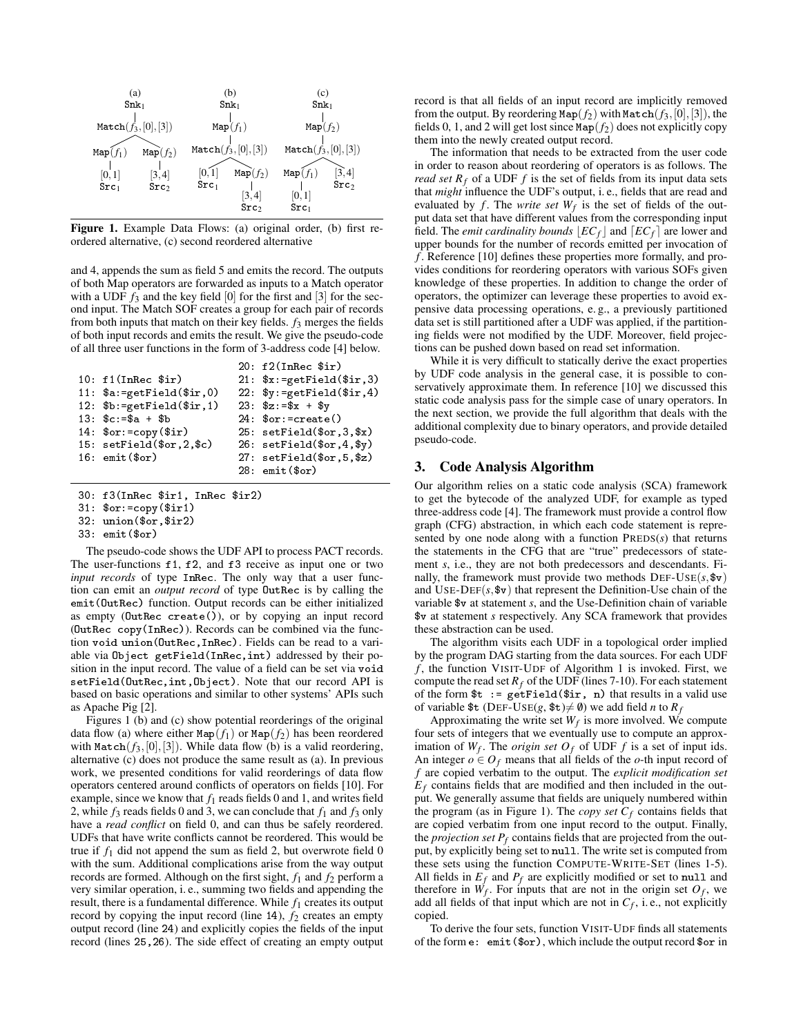

Figure 1. Example Data Flows: (a) original order, (b) first reordered alternative, (c) second reordered alternative

and 4, appends the sum as field 5 and emits the record. The outputs of both Map operators are forwarded as inputs to a Match operator with a UDF  $f_3$  and the key field  $[0]$  for the first and  $[3]$  for the second input. The Match SOF creates a group for each pair of records from both inputs that match on their key fields. *f*<sup>3</sup> merges the fields of both input records and emits the result. We give the pseudo-code of all three user functions in the form of 3-address code [4] below.

|                                    | $20: f2(InRec$ \$ir)                             |
|------------------------------------|--------------------------------------------------|
| 10: $f1(InRec$ \$ir)               | 21: $x := getField($ir, 3)$                      |
| 11: $a:=getField(fir,0)$           | $22:$ $\gamma := \text{getField}(\text{Sir}, 4)$ |
| 12: $b:=getField($ir,1)$           | $23:$ $$z:=$ $$x + $y$                           |
| $13:$ $c:=$ \$a + \$b              | $24:$ \$or:=create()                             |
| $14:$ $for:=$ copy $(\text{sin})$  | 25: setField(\$or, 3, \$x)                       |
| $15: setField(\text{for } 2, \$c)$ | $26: setField({for, 4, $y})$                     |
| $16:$ emit $(\text{for})$          | 27: setField(\$or, 5, \$z)                       |
|                                    | $28:$ emit $(\text{for})$                        |

- 30: f3(InRec \$ir1, InRec \$ir2)
- 31: \$or:=copy(\$ir1)
- 32: union(\$or,\$ir2)
- 33: emit(\$or)

The pseudo-code shows the UDF API to process PACT records. The user-functions f1, f2, and f3 receive as input one or two *input records* of type InRec. The only way that a user function can emit an *output record* of type OutRec is by calling the emit(OutRec) function. Output records can be either initialized as empty (OutRec create()), or by copying an input record (OutRec copy(InRec)). Records can be combined via the function void union(OutRec,InRec). Fields can be read to a variable via Object getField(InRec,int) addressed by their position in the input record. The value of a field can be set via void setField(OutRec,int,Object). Note that our record API is based on basic operations and similar to other systems' APIs such as Apache Pig [2].

Figures 1 (b) and (c) show potential reorderings of the original data flow (a) where either  $\text{Map}(f_1)$  or  $\text{Map}(f_2)$  has been reordered with  $\text{Match}(f_3, [0], [3])$ . While data flow (b) is a valid reordering, alternative (c) does not produce the same result as (a). In previous work, we presented conditions for valid reorderings of data flow operators centered around conflicts of operators on fields [10]. For example, since we know that  $f_1$  reads fields 0 and 1, and writes field 2, while  $f_3$  reads fields 0 and 3, we can conclude that  $f_1$  and  $f_3$  only have a *read conflict* on field 0, and can thus be safely reordered. UDFs that have write conflicts cannot be reordered. This would be true if *f*<sup>1</sup> did not append the sum as field 2, but overwrote field 0 with the sum. Additional complications arise from the way output records are formed. Although on the first sight, *f*<sup>1</sup> and *f*<sup>2</sup> perform a very similar operation, i. e., summing two fields and appending the result, there is a fundamental difference. While  $f_1$  creates its output record by copying the input record (line 14),  $f_2$  creates an empty output record (line 24) and explicitly copies the fields of the input record (lines 25,26). The side effect of creating an empty output record is that all fields of an input record are implicitly removed from the output. By reordering  $\text{Map}(f_2)$  with  $\text{Match}(f_3,[0],[3])$ , the fields 0, 1, and 2 will get lost since  $\text{Map}(f_2)$  does not explicitly copy them into the newly created output record.

The information that needs to be extracted from the user code in order to reason about reordering of operators is as follows. The *read set*  $R_f$  of a UDF  $f$  is the set of fields from its input data sets that *might* influence the UDF's output, i. e., fields that are read and evaluated by  $f$ . The *write set*  $W_f$  is the set of fields of the output data set that have different values from the corresponding input field. The *emit cardinality bounds*  $|EC_f|$  and  $[EC_f]$  are lower and upper bounds for the number of records emitted per invocation of *f* . Reference [10] defines these properties more formally, and provides conditions for reordering operators with various SOFs given knowledge of these properties. In addition to change the order of operators, the optimizer can leverage these properties to avoid expensive data processing operations, e. g., a previously partitioned data set is still partitioned after a UDF was applied, if the partitioning fields were not modified by the UDF. Moreover, field projections can be pushed down based on read set information.

While it is very difficult to statically derive the exact properties by UDF code analysis in the general case, it is possible to conservatively approximate them. In reference [10] we discussed this static code analysis pass for the simple case of unary operators. In the next section, we provide the full algorithm that deals with the additional complexity due to binary operators, and provide detailed pseudo-code.

### 3. Code Analysis Algorithm

Our algorithm relies on a static code analysis (SCA) framework to get the bytecode of the analyzed UDF, for example as typed three-address code [4]. The framework must provide a control flow graph (CFG) abstraction, in which each code statement is represented by one node along with a function PREDS(*s*) that returns the statements in the CFG that are "true" predecessors of statement *s*, i.e., they are not both predecessors and descendants. Finally, the framework must provide two methods  $DEF\text{-}Use(s, \text{iv})$ and USE-DEF $(s, \$\mathbf{v})$  that represent the Definition-Use chain of the variable \$v at statement *s*, and the Use-Definition chain of variable \$v at statement *s* respectively. Any SCA framework that provides these abstraction can be used.

The algorithm visits each UDF in a topological order implied by the program DAG starting from the data sources. For each UDF *f* , the function VISIT-UDF of Algorithm 1 is invoked. First, we compute the read set  $R_f$  of the UDF (lines 7-10). For each statement of the form  $t := getField($ir, n)$  that results in a valid use of variable  $t$  (DEF-USE(*g*,  $t \neq \emptyset$ ) we add field *n* to  $R_f$ 

Approximating the write set  $W_f$  is more involved. We compute four sets of integers that we eventually use to compute an approximation of  $W_f$ . The *origin set*  $O_f$  of UDF  $f$  is a set of input ids. An integer  $o \in O_f$  means that all fields of the *o*-th input record of *f* are copied verbatim to the output. The *explicit modification set*  $E_f$  contains fields that are modified and then included in the output. We generally assume that fields are uniquely numbered within the program (as in Figure 1). The *copy set*  $C_f$  contains fields that are copied verbatim from one input record to the output. Finally, the *projection set*  $P_f$  contains fields that are projected from the output, by explicitly being set to null. The write set is computed from these sets using the function COMPUTE-WRITE-SET (lines 1-5). All fields in  $E_f$  and  $P_f$  are explicitly modified or set to null and therefore in  $W_f$ . For inputs that are not in the origin set  $O_f$ , we add all fields of that input which are not in *C<sup>f</sup>* , i. e., not explicitly copied.

To derive the four sets, function VISIT-UDF finds all statements of the form e: emit(\$or), which include the output record \$or in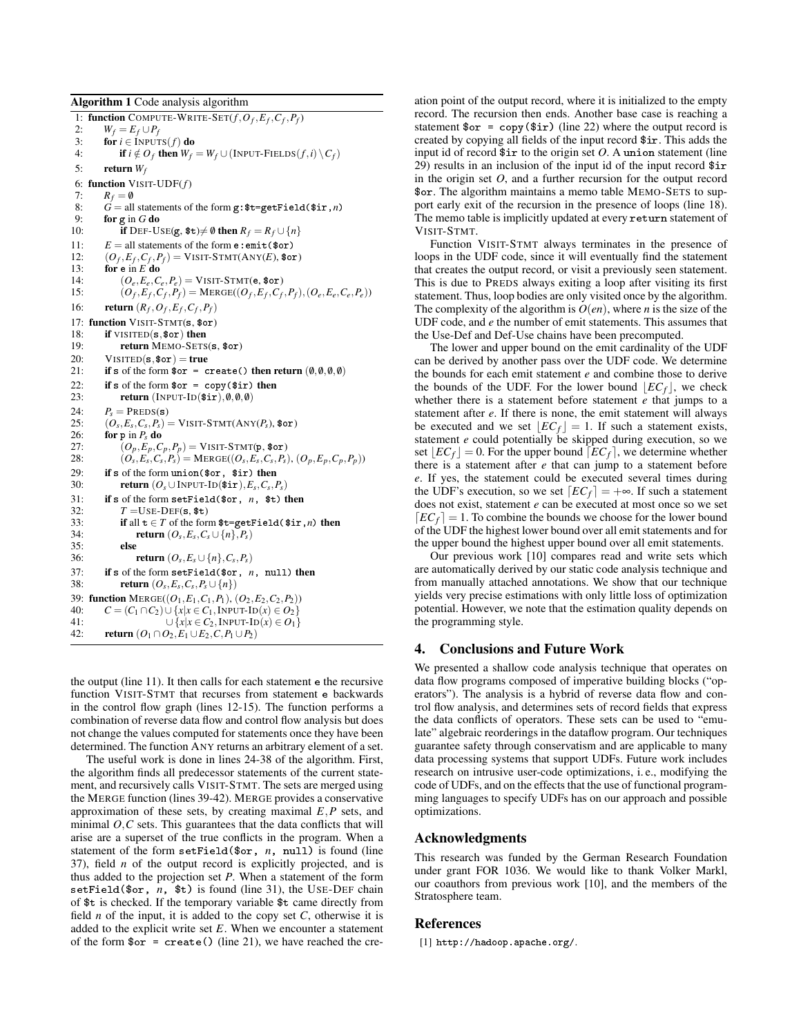Algorithm 1 Code analysis algorithm

1: **function** COMPUTE-WRITE-SET $(f, O_f, E_f, C_f, P_f)$ 2:  $W_f = E_f \cup P_f$ <br>3: **for** *i* ∈ INPUT  $\overrightarrow{\textbf{for}}\ \mathbf{i} \in \text{INPUTS}(f)\ \overrightarrow{\textbf{do}}$ 4: **if**  $i \notin O_f$  then  $W_f = W_f \cup (\text{INPUT-FileLDS}(f, i) \setminus C_f)$ 5: return  $W_f$ 6: function VISIT-UDF(*f*) 7:  $R_f = \emptyset$ <br>8:  $G = \text{all}$  $\vec{G}$  = all statements of the form g:  $t = getField(fir, n)$ 9: **for** g in  $G$  do 10: **if** DEF-USE(g,  $\text{ $t \to \emptyset$}$  then  $R_f = R_f \cup \{n\}$ 11:  $E = \text{all statements of the form } \text{e: emit}(\text{for})$ 12:  $(O_f, E_f, C_f, P_f) = \text{VIST-TMTC}(\text{ANY}(E), \text{for})$ 13: **for**  $\mathbf{e}$  in  $E$  **do** 14:  $(O_e, E_e, C_e, P_e) = \text{VISTT-STM}(e, \text{$for})$ <br>15:  $(O_f, E_f, C_f, P_f) = \text{MERGE}( (O_f, E_f, C_f, P_f))$ 15:  $(O_f, E_f, C_f, P_f) = \text{MERGE}((O_f, E_f, C_f, P_f), (O_e, E_e, C_e, P_e))$ 16: **return**  $(R_f, O_f, E_f, C_f, P_f)$ 17: function VISIT-STMT(s, \$or) 18: **if** VISITED(**s**, \$0**r**) then<br>19: **return** MEMO-SETS return MEMO-SETS(s, \$or) 20: VISITED( $s,$ \$or) = true<br>21: **if** s of the form  $s$ or = c if s of the form  $\text{for} = \text{create}()$  then return  $(0, 0, 0, 0)$ 22: if s of the form  $\text{for } = \text{copy}(\text{sin})$  then<br>23: return (INPUT-ID( $\text{sin } \theta$ ,  $\theta$ ,  $\theta$ ) return (INPUT-ID $($ir), $(0,0,0)$$ 24:  $P_s = \text{PREDS(s)}$ <br>25:  $(Q_0, E_0, C_1, P_0) =$ 25:  $(O_s, E_s, C_s, P_s) = \text{VISIT-STMT}(\text{ANY}(P_s), \text{for})$ 26: for p in  $P_s$  do<br>27:  $(Q_r, E_r, C_r)$ 27:  $(O_p, E_p, C_p, P_p) = \text{VIST-TSTM}(p, \text{$for})$ <br>
28:  $(O_e, E_e, C_e, P_e) = \text{MERGE}((O_e, E_e, C_e, P_e))$ 28:  $(O_s, E_s, C_s, P_s) = \text{MERGE}((O_s, E_s, C_s, P_s), (O_p, E_p, C_p, P_p))$ 29: if s of the form union(\$or, \$ir) then 30: return  $(O_s \cup \text{INPUT-ID}(\text{$\$ir}), E_s, C_s, P_s)$ 31: if s of the form setField(\$or, *n*, \$t) then  $T =$ USE-DEF(s, \$t) 33: if all  $t \in T$  of the form  $t = getField(fir, n)$  then 34: **return**  $(O_s, E_s, C_s \cup \{n\}, P_s)$ 35: else 36: **return**  $(O_s, E_s \cup \{n\}, C_s, P_s)$ 37: if s of the form setField( $\$ or, *n*, null) then<br>38: return ( $O_e$ ,  $E_e$ ,  $C_e$ ,  $P_e$ ,  $| \{n\}$ ) 38: **return**  $(O_s, E_s, C_s, P_s \cup \{n\})$ 39: **function** MERGE(( $O_1, E_1, C_1, P_1$ ), ( $O_2, E_2, C_2, P_2$ ))<br>40:  $C = (C_1 \cap C_2) \cup \{x | x \in C_1, \text{INPUT-D}(x) \in O_2\}$ 40:  $C = (C_1 \cap C_2) \cup \{x | x \in C_1, \text{INPUT-ID}(x) \in O_2\}$ <br>41:  $\cup \{x | x \in C_2, \text{INPUT-ID}(x) \in O_1\}$ 41:  $\bigcup \{x | x \in C_2, \text{INPUT-ID}(x) \in O_1\}$ <br>42: **return** (*O*<sub>1</sub> ∩ *O*<sub>2</sub>, *E*<sub>1</sub> ∪ *E*<sub>2</sub>, *C*, *P*<sub>1</sub> ∪ *P*<sub>2</sub>) **return**  $(O_1 ∩ O_2, E_1 ∪ E_2, C, P_1 ∪ P_2)$ 

the output (line 11). It then calls for each statement e the recursive function VISIT-STMT that recurses from statement e backwards in the control flow graph (lines 12-15). The function performs a combination of reverse data flow and control flow analysis but does not change the values computed for statements once they have been determined. The function ANY returns an arbitrary element of a set.

The useful work is done in lines 24-38 of the algorithm. First, the algorithm finds all predecessor statements of the current statement, and recursively calls VISIT-STMT. The sets are merged using the MERGE function (lines 39-42). MERGE provides a conservative approximation of these sets, by creating maximal *E*,*P* sets, and minimal  $O$ , $C$  sets. This guarantees that the data conflicts that will arise are a superset of the true conflicts in the program. When a statement of the form setField(\$or, *n*, null) is found (line 37), field *n* of the output record is explicitly projected, and is thus added to the projection set *P*. When a statement of the form setField(\$or, *n*, \$t) is found (line 31), the USE-DEF chain of \$t is checked. If the temporary variable \$t came directly from field *n* of the input, it is added to the copy set *C*, otherwise it is added to the explicit write set *E*. When we encounter a statement of the form  $\text{for} = \text{create}()$  (line 21), we have reached the cre-

ation point of the output record, where it is initialized to the empty record. The recursion then ends. Another base case is reaching a statement  $\text{for} = \text{copy}(\text{sin})$  (line 22) where the output record is created by copying all fields of the input record \$ir. This adds the input id of record  $\frac{1}{2}$  ir to the origin set *O*. A union statement (line 29) results in an inclusion of the input id of the input record \$ir in the origin set *O*, and a further recursion for the output record \$or. The algorithm maintains a memo table MEMO-SETS to support early exit of the recursion in the presence of loops (line 18). The memo table is implicitly updated at every return statement of VISIT-STMT.

Function VISIT-STMT always terminates in the presence of loops in the UDF code, since it will eventually find the statement that creates the output record, or visit a previously seen statement. This is due to PREDS always exiting a loop after visiting its first statement. Thus, loop bodies are only visited once by the algorithm. The complexity of the algorithm is  $O(en)$ , where *n* is the size of the UDF code, and *e* the number of emit statements. This assumes that the Use-Def and Def-Use chains have been precomputed.

The lower and upper bound on the emit cardinality of the UDF can be derived by another pass over the UDF code. We determine the bounds for each emit statement *e* and combine those to derive the bounds of the UDF. For the lower bound  $\left[EC_f\right]$ , we check whether there is a statement before statement *e* that jumps to a statement after *e*. If there is none, the emit statement will always be executed and we set  $|EC_f| = 1$ . If such a statement exists, statement *e* could potentially be skipped during execution, so we set  $\lfloor EC_f\rfloor = 0$ . For the upper bound  $\lfloor EC_f\rfloor$ , we determine whether there is a statement after *e* that can jump to a statement before *e*. If yes, the statement could be executed several times during the UDF's execution, so we set  $\lfloor EC_f \rfloor = +\infty$ . If such a statement does not exist, statement *e* can be executed at most once so we set  $\lfloor EC_f\rceil = 1$ . To combine the bounds we choose for the lower bound of the UDF the highest lower bound over all emit statements and for the upper bound the highest upper bound over all emit statements.

Our previous work [10] compares read and write sets which are automatically derived by our static code analysis technique and from manually attached annotations. We show that our technique yields very precise estimations with only little loss of optimization potential. However, we note that the estimation quality depends on the programming style.

### 4. Conclusions and Future Work

We presented a shallow code analysis technique that operates on data flow programs composed of imperative building blocks ("operators"). The analysis is a hybrid of reverse data flow and control flow analysis, and determines sets of record fields that express the data conflicts of operators. These sets can be used to "emulate" algebraic reorderings in the dataflow program. Our techniques guarantee safety through conservatism and are applicable to many data processing systems that support UDFs. Future work includes research on intrusive user-code optimizations, i. e., modifying the code of UDFs, and on the effects that the use of functional programming languages to specify UDFs has on our approach and possible optimizations.

#### Acknowledgments

This research was funded by the German Research Foundation under grant FOR 1036. We would like to thank Volker Markl, our coauthors from previous work [10], and the members of the Stratosphere team.

#### References

[1] http://hadoop.apache.org/.